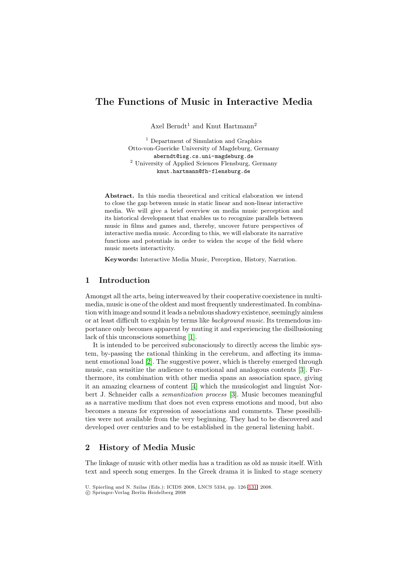# **The Functions of Music in Interactive Media**

Axel Berndt<sup>1</sup> and Knut Hartmann<sup>2</sup>

<sup>1</sup> Department of Simulation and Graphics Otto-von-Guericke University of Magdeburg, Germany aberndt@isg.cs.uni-magdeburg.de <sup>2</sup> University of Applied Sciences Flensburg, Germany knut.hartmann@fh-flensburg.de

**Abstract.** In this media theoretical and critical elaboration we intend to close the gap between music in static linear and non-linear interactive media. We will give a brief overview on media music perception and its historical development that enables us to recognize parallels between music in films and games and, thereby, uncover future perspectives of interactive media music. According to this, we will elaborate its narrative functions and potentials in order to widen the scope of the field where music meets interactivity.

**Keywords:** Interactive Media Music, Perception, History, Narration.

## **1 Introduction**

Amongst all the arts, being interweaved by their cooperative coexistence in multimedia, music is one of the oldest and most frequently underestimated. In combination with image and sound it leads a nebulous shadowy existence, seemingly aimless or at least difficult to explain by terms like background music. Its tremendous importance only becomes apparent by muting it and experiencing the disillusioning lack of this unconscious something [1].

It is intended to be perceived subconsciously to directly access the limbic system, by-passing the rational thinking in the cerebrum, and affecting its immanent emotional load [2]. The suggestive power, which is thereby emerged through music, can sensitize the audience t[o](#page-5-0) emotional and analogous contents [3]. Furthermore, its combination with other media spans an association space, giving it an amazing clearness of content [4] which the musicologist and linguist Norbert J. Schneider ca[lls](#page-5-1) a semantization process [3]. Music becomes meaningful as a narrative medium that does not even express emotions and mood, [bu](#page-5-2)t also becomes a means for expression of associations and comments. These possibilities were not available from the ver[y b](#page-5-3)eginning. They had to be discovered and developed over centuries and to be established i[n t](#page-5-2)he general listening habit.

# **2 History of Media Music**

The linkage of music with other media has a tradition as old as music itself. With text and speech song emerges. In the Greek drama it is linked to stage scenery

U. Spierling and N. Szilas (Eds.): ICIDS 2008, LNCS 5334, pp. 126–131, 2008.

<sup>-</sup>c Springer-Verlag Berlin Heidelberg 2008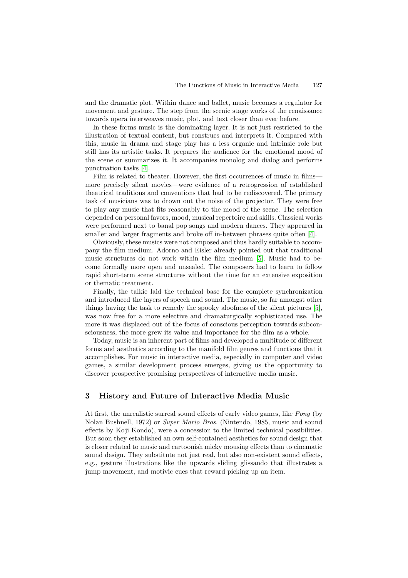and the dramatic plot. Within dance and ballet, music becomes a regulator for movement and gesture. The step from the scenic stage works of the renaissance towards opera interweaves music, plot, and text closer than ever before.

In these forms music is the dominating layer. It is not just restricted to the illustration of textual content, but construes and interprets it. Compared with this, music in drama and stage play has a less organic and intrinsic role but still has its artistic tasks. It prepares the audience for the emotional mood of the scene or summarizes it. It accompanies monolog and dialog and performs punctuation tasks [4].

Film is related to theater. However, the first occurrences of music in films more precisely silent movies—were evidence of a retrogression of established theatrical traditions and conventions that had to be rediscovered. The primary task of musicians [wa](#page-5-3)s to drown out the noise of the projector. They were free to play any music that fits reasonably to the mood of the scene. The selection depended on personal favors, mood, musical repertoire and skills. Classical works were performed next to banal pop songs and modern dances. They appeared in smaller and larger fragments and broke off in-between phrases quite often [4].

Obviously, these musics were not composed and thus hardly suitable to accompany the film medium. Adorno and Eisler already pointed out that traditional music structures do not work within the film medium [5]. Music had to become formally more open and unsealed. The composers had to learn to f[oll](#page-5-3)ow rapid short-term scene structures without the time for an extensive exposition or thematic treatment.

Finally, the talkie laid the technical base for the co[mp](#page-5-4)lete synchronization and introduced the layers of speech and sound. The music, so far amongst other things having the task to remedy the spooky aloofness of the silent pictures [5], was now free for a more selective and dramaturgically sophisticated use. The more it was displaced out of the focus of conscious perception towards subconsciousness, the more grew its value and importance for the film as a whole.

Today, music is an inherent part of films and developed a multitude of differ[en](#page-5-4)t forms and aesthetics according to the manifold film genres and functions that it accomplishes. For music in interactive media, especially in computer and video games, a similar development process emerges, giving us the opportunity to discover prospective promising perspectives of interactive media music.

## **3 History and Future of Interactive Media Music**

At first, the unrealistic surreal sound effects of early video games, like Pong (by Nolan Bushnell, 1972) or Super Mario Bros. (Nintendo, 1985, music and sound effects by Koji Kondo), were a concession to the limited technical possibilities. But soon they established an own self-contained aesthetics for sound design that is closer related to music and cartoonish micky mousing effects than to cinematic sound design. They substitute not just real, but also non-existent sound effects, e.g., gesture illustrations like the upwards sliding glissando that illustrates a jump movement, and motivic cues that reward picking up an item.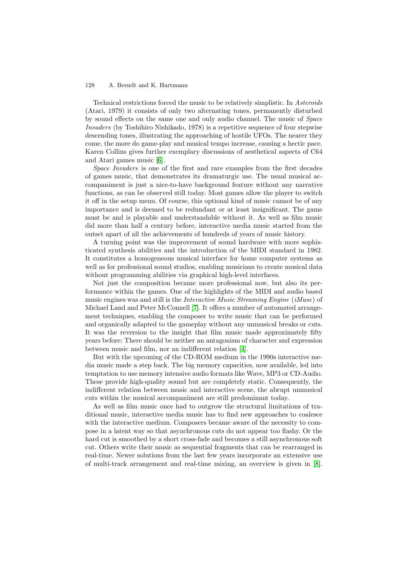#### 128 A. Berndt and K. Hartmann

Technical restrictions forced the music to be relatively simplistic. In Asteroids (Atari, 1979) it consists of only two alternating tones, permanently disturbed by sound effects on the same one and only audio channel. The music of Space Invaders (by Toshihiro Nishikado, 1978) is a repetitive sequence of four stepwise descending tones, illustrating the approaching of hostile UFOs. The nearer they come, the more do game-play and musical tempo increase, causing a hectic pace. Karen Collins gives further exemplary discussions of aesthetical aspects of C64 and Atari games music [6].

Space Invaders is one of the first and rare examples from the first decades of games music, that demonstrates its dramaturgic use. The usual musical accompaniment is just a nice-to-have background feature without any narrative functions, as can be obs[er](#page-5-5)ved still today. Most games allow the player to switch it off in the setup menu. Of course, this optional kind of music cannot be of any importance and is deemed to be redundant or at least insignificant. The game must be and is playable and understandable without it. As well as film music did more than half a century before, interactive media music started from the outset apart of all the achievements of hundreds of years of music history.

A turning point was the improvement of sound hardware with more sophisticated synthesis abilities and the introduction of the MIDI standard in 1982. It constitutes a homogeneous musical interface for home computer systems as well as for professional sound studios, enabling musicians to create musical data without programming abilities via graphical high-level interfaces.

Not just the composition became more professional now, but also its performance within the games. One of the highlights of the MIDI and audio based music engines was and still is the *Interactive Music Streaming Engine* (*iMuse*) of Michael Land and Peter McConnell [7]. It offers a number of automated arrangement techniques, enabling the composer to write music that can be performed and organically adapted to the gameplay without any unmusical breaks or cuts. It was the reversion to the insight that film music made approximately fifty years before: There should be neithe[r a](#page-5-6)n antagonism of character and expression between music and film, nor an indifferent relation [4].

But with the upcoming of the CD-ROM medium in the 1990s interactive media music made a step back. The big memory capacities, now available, led into temptation to use memory intensive audio formats like Wave, MP3 or CD-Audio. These provide high-quality sound but are complete[ly](#page-5-3) static. Consequently, the indifferent relation between music and interactive scene, the abrupt unmusical cuts within the musical accompaniment are still predominant today.

As well as film music once had to outgrow the structural limitations of traditional music, interactive media music has to find new approaches to coalesce with the interactive medium. Composers became aware of the necessity to compose in a latent way so that asynchronous cuts do not appear too flashy. Or the hard cut is smoothed by a short cross-fade and becomes a still asynchronous soft cut. Others write their music as sequential fragments that can be rearranged in real-time. Newer solutions from the last few years incorporate an extensive use of multi-track arrangement and real-time mixing, an overview is given in [8].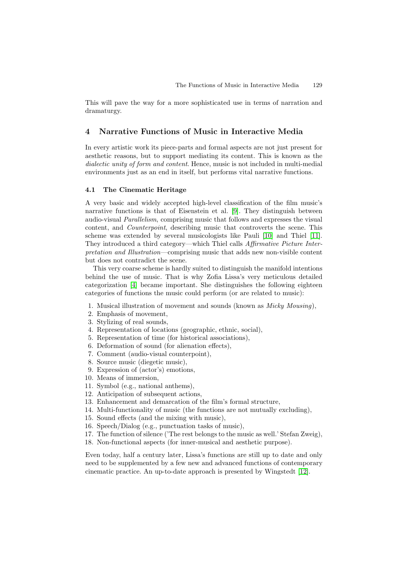This will pave the way for a more sophisticated use in terms of narration and dramaturgy.

## **4 Narrative Functions of Music in Interactive Media**

In every artistic work its piece-parts and formal aspects are not just present for aesthetic reasons, but to support mediating its content. This is known as the dialectic unity of form and content. Hence, music is not included in multi-medial environments just as an end in itself, but performs vital narrative functions.

### **4.1 The Cinematic Heritage**

A very basic and widely accepted high-level classification of the film music's narrative functions is that of Eisenstein et al. [9]. They distinguish between audio-visual Parallelism, comprising music that follows and expresses the visual content, and Counterpoint, describing music that controverts the scene. This scheme was extended by several musicologists like Pauli [10] and Thiel [11]. They introduced a third category—which Thiel [cal](#page-5-7)ls Affirmative Picture Interpretation and Illustration—comprising music that adds new non-visible content but does not contradict the scene.

This very coarse scheme is hardly suited to distinguish the [ma](#page-5-8)nifold intent[ion](#page-5-9)s behind the use of music. That is why Zofia Lissa's very meticulous detailed categorization [4] became important. She distinguishes the following eighteen categories of functions the music could perform (or are related to music):

- 1. Musical illustration of movement and sounds (known as Micky Mousing),
- 2. Emphasis of movement,
- 3. Stylizing of [re](#page-5-3)al sounds,
- 4. Representation of locations (geographic, ethnic, social),
- 5. Representation of time (for historical associations),
- 6. Deformation of sound (for alienation effects),
- 7. Comment (audio-visual counterpoint),
- 8. Source music (diegetic music),
- 9. Expression of (actor's) emotions,
- 10. Means of immersion,
- 11. Symbol (e.g., national anthems),
- 12. Anticipation of subsequent actions,
- 13. Enhancement and demarcation of the film's formal structure,
- 14. Multi-functionality of music (the functions are not mutually excluding),
- 15. Sound effects (and the mixing with music),
- 16. Speech/Dialog (e.g., punctuation tasks of music),
- 17. The function of silence ('The rest belongs to the music as well.' Stefan Zweig),
- 18. Non-functional aspects (for inner-musical and aesthetic purpose).

Even today, half a century later, Lissa's functions are still up to date and only need to be supplemented by a few new and advanced functions of contemporary cinematic practice. An up-to-date approach is presented by Wingstedt [12].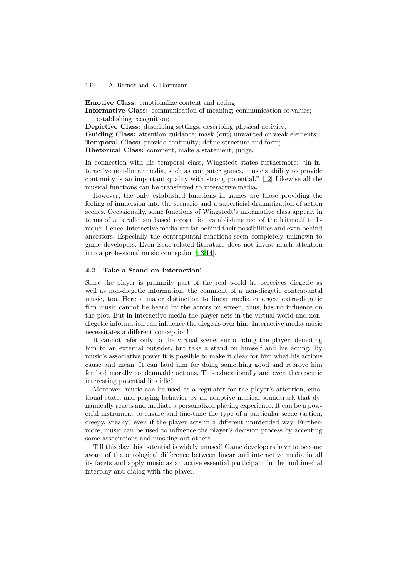#### 130 A. Berndt and K. Hartmann

**Emotive Class:** emotionalize content and acting; **Informative Class:** communication of meaning; communication of values; establishing recognition; **Depictive Class:** describing settings; describing physical activity; **Guiding Class:** attention guidance; mask (out) unwanted or weak elements; **Temporal Class:** provide continuity; define structure and form;

**Rhetorical Class:** comment, make a statement, judge.

In connection with his temporal class, Wingstedt states furthermore: "In interactive non-linear media, such as computer games, music's ability to provide continuity is an important quality with strong potential." [12] Likewise all the musical functions can be transferred to interactive media.

However, the only established functions in games are those providing the feeling of immersion into the scenario and a superficial dramatization of action scenes. Occasionally, some functions of Wingstedt's inform[ative](#page-5-10) class appear, in terms of a parallelism based recognition establishing use of the leitmotif technique. Hence, interactive media are far behind their possibilities and even behind ancestors. Especially the contrapuntal functions seem completely unknown to game developers. Even issue-related literature does not invest much attention into a professional music conception [13,14].

### **4.2 Take a Stand on Interaction!**

Since the player is primarily part of the real world he perceives diegetic as well as non-diegetic information, th[e](#page-5-11) [c](#page-5-11)[omm](#page-5-12)ent of a non-diegetic contrapuntal music, too. Here a major distinction to linear media emerges: extra-diegetic film music cannot be heard by the actors on screen, thus, has no influence on the plot. But in interactive media the player acts in the virtual world and nondiegetic information can influence the diegesis over him. Interactive media music necessitates a different conception!

It cannot refer only to the virtual scene, surrounding the player, demoting him to an external outsider, but take a stand on himself and his acting. By music's associative power it is possible to make it clear for him what his actions cause and mean. It can laud him for doing something good and reprove him for bad morally condemnable actions. This educationally and even therapeutic interesting potential lies idle!

Moreover, music can be used as a regulator for the player's attention, emotional state, and playing behavior by an adaptive musical soundtrack that dynamically reacts and mediate a personalized playing experience. It can be a powerful instrument to ensure and fine-tune the type of a particular scene (action, creepy, sneaky) even if the player acts in a different unintended way. Furthermore, music can be used to influence the player's decision process by accenting some associations and masking out others.

Till this day this potential is widely unused! Game developers have to become aware of the ontological difference between linear and interactive media in all its facets and apply music as an active essential participant in the multimedial interplay and dialog with the player.